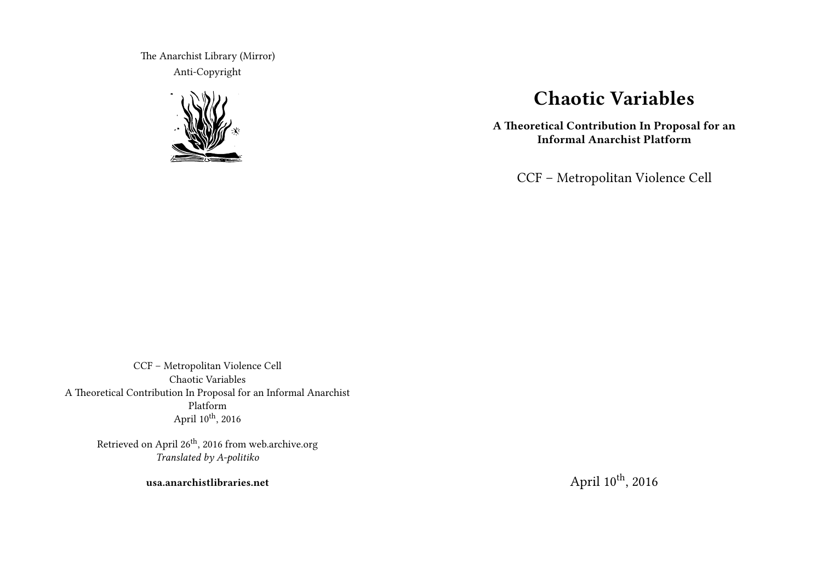The Anarchist Library (Mirror) Anti-Copyright



# **Chaotic Variables**

**A Theoretical Contribution In Proposal for an Informal Anarchist Platform**

CCF – Metropolitan Violence Cell

CCF – Metropolitan Violence Cell Chaotic Variables A Theoretical Contribution In Proposal for an Informal Anarchist Platform April 10<sup>th</sup>, 2016

> Retrieved on April 26<sup>th</sup>, 2016 from web.archive.org *Translated by A-politiko*

> > **usa.anarchistlibraries.net**

April 10<sup>th</sup>, 2016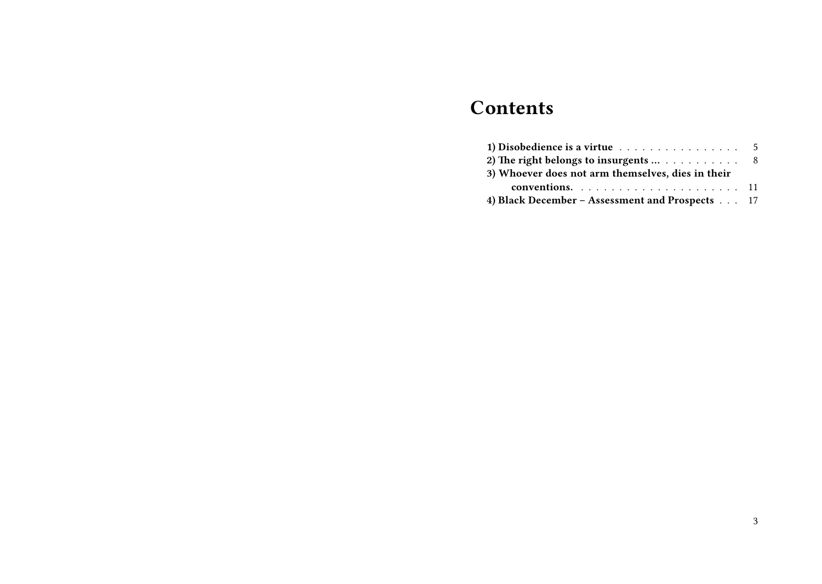# **Contents**

| 1) Disobedience is a virtue $\ldots \ldots \ldots \ldots \ldots \ldots$ 5 |  |
|---------------------------------------------------------------------------|--|
| 2) The right belongs to insurgents  8                                     |  |
| 3) Whoever does not arm themselves, dies in their                         |  |
|                                                                           |  |
| 4) Black December – Assessment and Prospects 17                           |  |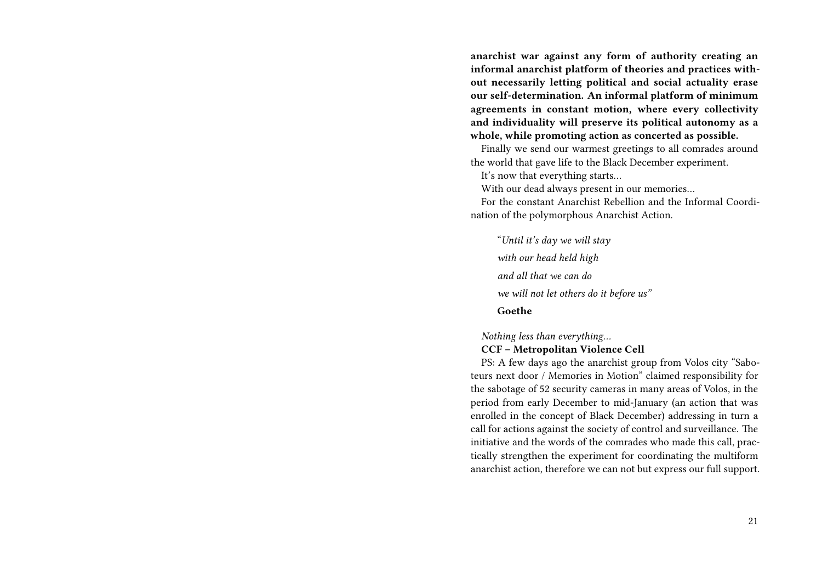**anarchist war against any form of authority creating an informal anarchist platform of theories and practices without necessarily letting political and social actuality erase our self-determination. An informal platform of minimum agreements in constant motion, where every collectivity and individuality will preserve its political autonomy as a whole, while promoting action as concerted as possible.**

Finally we send our warmest greetings to all comrades around the world that gave life to the Black December experiment.

It's now that everything starts…

With our dead always present in our memories…

For the constant Anarchist Rebellion and the Informal Coordination of the polymorphous Anarchist Action.

"*Until it's day we will stay with our head held high and all that we can do we will not let others do it before us"* **Goethe**

*Nothing less than everything…*

### **CCF – Metropolitan Violence Cell**

PS: A few days ago the anarchist group from Volos city "Saboteurs next door / Memories in Motion" claimed responsibility for the sabotage of 52 security cameras in many areas of Volos, in the period from early December to mid-January (an action that was enrolled in the concept of Black December) addressing in turn a call for actions against the society of control and surveillance. The initiative and the words of the comrades who made this call, practically strengthen the experiment for coordinating the multiform anarchist action, therefore we can not but express our full support.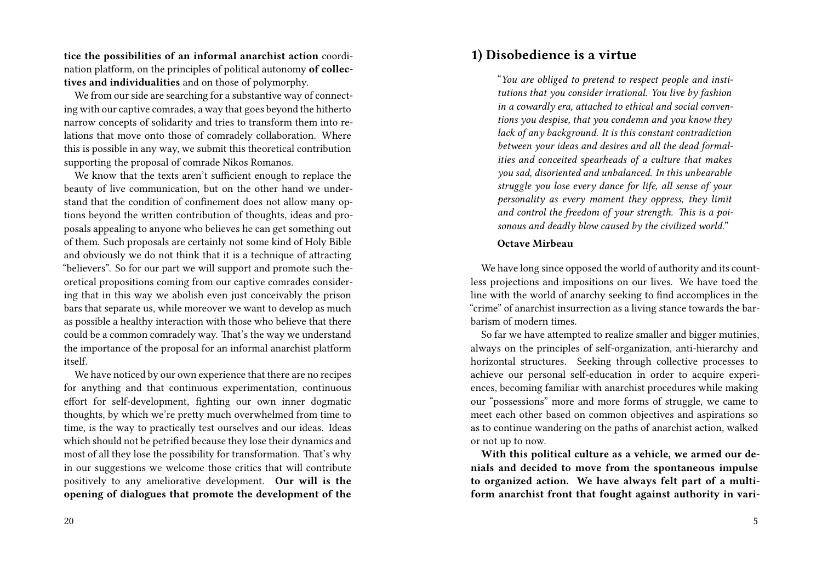**tice the possibilities of an informal anarchist action** coordination platform, on the principles of political autonomy **of collectives and individualities** and on those of polymorphy.

We from our side are searching for a substantive way of connecting with our captive comrades, a way that goes beyond the hitherto narrow concepts of solidarity and tries to transform them into relations that move onto those of comradely collaboration. Where this is possible in any way, we submit this theoretical contribution supporting the proposal of comrade Nikos Romanos.

We know that the texts aren't sufficient enough to replace the beauty of live communication, but on the other hand we understand that the condition of confinement does not allow many options beyond the written contribution of thoughts, ideas and proposals appealing to anyone who believes he can get something out of them. Such proposals are certainly not some kind of Holy Bible and obviously we do not think that it is a technique of attracting "believers". So for our part we will support and promote such theoretical propositions coming from our captive comrades considering that in this way we abolish even just conceivably the prison bars that separate us, while moreover we want to develop as much as possible a healthy interaction with those who believe that there could be a common comradely way. That's the way we understand the importance of the proposal for an informal anarchist platform itself.

We have noticed by our own experience that there are no recipes for anything and that continuous experimentation, continuous effort for self-development, fighting our own inner dogmatic thoughts, by which we're pretty much overwhelmed from time to time, is the way to practically test ourselves and our ideas. Ideas which should not be petrified because they lose their dynamics and most of all they lose the possibility for transformation. That's why in our suggestions we welcome those critics that will contribute positively to any ameliorative development. **Our will is the opening of dialogues that promote the development of the**

## **1) Disobedience is a virtue**

"*You are obliged to pretend to respect people and institutions that you consider irrational. You live by fashion in a cowardly era, attached to ethical and social conventions you despise, that you condemn and you know they lack of any background. It is this constant contradiction between your ideas and desires and all the dead formalities and conceited spearheads of a culture that makes you sad, disoriented and unbalanced. In this unbearable struggle you lose every dance for life, all sense of your personality as every moment they oppress, they limit and control the freedom of your strength. This is a poisonous and deadly blow caused by the civilized world."*

### **Octave Mirbeau**

We have long since opposed the world of authority and its countless projections and impositions on our lives. We have toed the line with the world of anarchy seeking to find accomplices in the "crime" of anarchist insurrection as a living stance towards the barbarism of modern times.

So far we have attempted to realize smaller and bigger mutinies, always on the principles of self-organization, anti-hierarchy and horizontal structures. Seeking through collective processes to achieve our personal self-education in order to acquire experiences, becoming familiar with anarchist procedures while making our "possessions" more and more forms of struggle, we came to meet each other based on common objectives and aspirations so as to continue wandering on the paths of anarchist action, walked or not up to now.

**With this political culture as a vehicle, we armed our denials and decided to move from the spontaneous impulse to organized action. We have always felt part of a multiform anarchist front that fought against authority in vari-**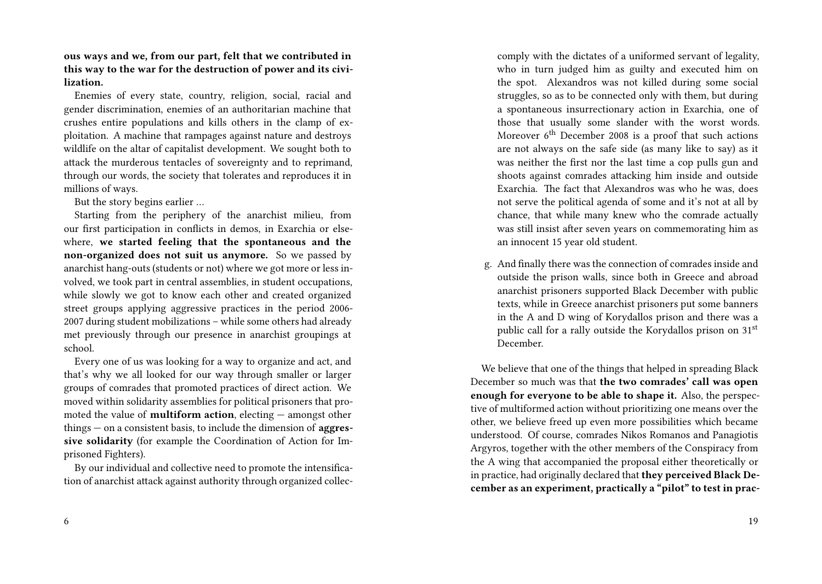**ous ways and we, from our part, felt that we contributed in this way to the war for the destruction of power and its civilization.**

Enemies of every state, country, religion, social, racial and gender discrimination, enemies of an authoritarian machine that crushes entire populations and kills others in the clamp of exploitation. A machine that rampages against nature and destroys wildlife on the altar of capitalist development. We sought both to attack the murderous tentacles of sovereignty and to reprimand, through our words, the society that tolerates and reproduces it in millions of ways.

But the story begins earlier …

Starting from the periphery of the anarchist milieu, from our first participation in conflicts in demos, in Exarchia or elsewhere, **we started feeling that the spontaneous and the non-organized does not suit us anymore.** So we passed by anarchist hang-outs (students or not) where we got more or less involved, we took part in central assemblies, in student occupations, while slowly we got to know each other and created organized street groups applying aggressive practices in the period 2006- 2007 during student mobilizations – while some others had already met previously through our presence in anarchist groupings at school.

Every one of us was looking for a way to organize and act, and that's why we all looked for our way through smaller or larger groups of comrades that promoted practices of direct action. We moved within solidarity assemblies for political prisoners that promoted the value of **multiform action**, electing — amongst other things — on a consistent basis, to include the dimension of **aggressive solidarity** (for example the Coordination of Action for Imprisoned Fighters).

By our individual and collective need to promote the intensification of anarchist attack against authority through organized colleccomply with the dictates of a uniformed servant of legality, who in turn judged him as guilty and executed him on the spot. Alexandros was not killed during some social struggles, so as to be connected only with them, but during a spontaneous insurrectionary action in Exarchia, one of those that usually some slander with the worst words. Moreover  $6<sup>th</sup>$  December 2008 is a proof that such actions are not always on the safe side (as many like to say) as it was neither the first nor the last time a cop pulls gun and shoots against comrades attacking him inside and outside Exarchia. The fact that Alexandros was who he was, does not serve the political agenda of some and it's not at all by chance, that while many knew who the comrade actually was still insist after seven years on commemorating him as an innocent 15 year old student.

g. And finally there was the connection of comrades inside and outside the prison walls, since both in Greece and abroad anarchist prisoners supported Black December with public texts, while in Greece anarchist prisoners put some banners in the A and D wing of Korydallos prison and there was a public call for a rally outside the Korydallos prison on 31st December.

We believe that one of the things that helped in spreading Black December so much was that **the two comrades' call was open enough for everyone to be able to shape it.** Also, the perspective of multiformed action without prioritizing one means over the other, we believe freed up even more possibilities which became understood. Of course, comrades Nikos Romanos and Panagiotis Argyros, together with the other members of the Conspiracy from the A wing that accompanied the proposal either theoretically or in practice, had originally declared that **they perceived Black December as an experiment, practically a "pilot" to test in prac-**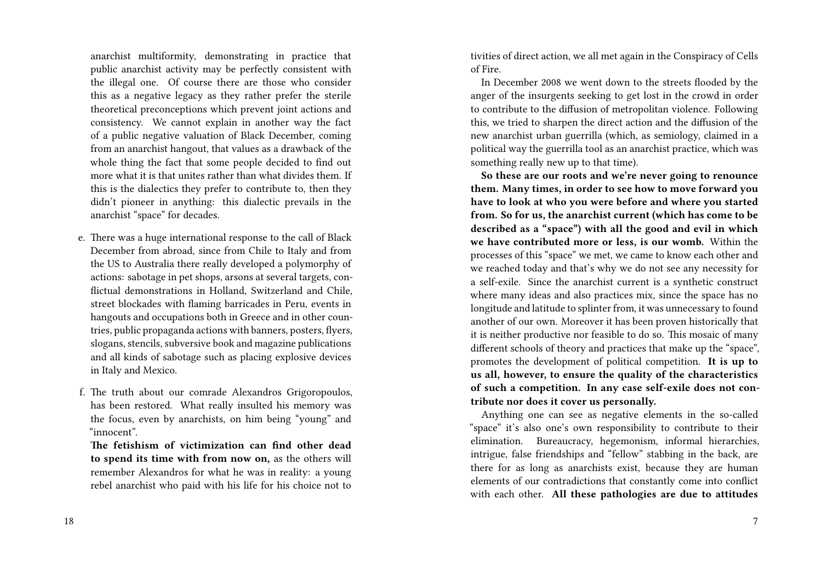anarchist multiformity, demonstrating in practice that public anarchist activity may be perfectly consistent with the illegal one. Of course there are those who consider this as a negative legacy as they rather prefer the sterile theoretical preconceptions which prevent joint actions and consistency. We cannot explain in another way the fact of a public negative valuation of Black December, coming from an anarchist hangout, that values as a drawback of the whole thing the fact that some people decided to find out more what it is that unites rather than what divides them. If this is the dialectics they prefer to contribute to, then they didn't pioneer in anything: this dialectic prevails in the anarchist "space" for decades.

- e. There was a huge international response to the call of Black December from abroad, since from Chile to Italy and from the US to Australia there really developed a polymorphy of actions: sabotage in pet shops, arsons at several targets, conflictual demonstrations in Holland, Switzerland and Chile, street blockades with flaming barricades in Peru, events in hangouts and occupations both in Greece and in other countries, public propaganda actions with banners, posters, flyers, slogans, stencils, subversive book and magazine publications and all kinds of sabotage such as placing explosive devices in Italy and Mexico.
- f. The truth about our comrade Alexandros Grigoropoulos, has been restored. What really insulted his memory was the focus, even by anarchists, on him being "young" and "innocent".

**The fetishism of victimization can find other dead to spend its time with from now on,** as the others will remember Alexandros for what he was in reality: a young rebel anarchist who paid with his life for his choice not to

tivities of direct action, we all met again in the Conspiracy of Cells of Fire.

In December 2008 we went down to the streets flooded by the anger of the insurgents seeking to get lost in the crowd in order to contribute to the diffusion of metropolitan violence. Following this, we tried to sharpen the direct action and the diffusion of the new anarchist urban guerrilla (which, as semiology, claimed in a political way the guerrilla tool as an anarchist practice, which was something really new up to that time).

**So these are our roots and we're never going to renounce them. Many times, in order to see how to move forward you have to look at who you were before and where you started from. So for us, the anarchist current (which has come to be described as a "space") with all the good and evil in which we have contributed more or less, is our womb.** Within the processes of this "space" we met, we came to know each other and we reached today and that's why we do not see any necessity for a self-exile. Since the anarchist current is a synthetic construct where many ideas and also practices mix, since the space has no longitude and latitude to splinter from, it was unnecessary to found another of our own. Moreover it has been proven historically that it is neither productive nor feasible to do so. This mosaic of many different schools of theory and practices that make up the "space", promotes the development of political competition. **It is up to us all, however, to ensure the quality of the characteristics of such a competition. In any case self-exile does not contribute nor does it cover us personally.**

Anything one can see as negative elements in the so-called "space" it's also one's own responsibility to contribute to their elimination. Bureaucracy, hegemonism, informal hierarchies, intrigue, false friendships and "fellow" stabbing in the back, are there for as long as anarchists exist, because they are human elements of our contradictions that constantly come into conflict with each other. **All these pathologies are due to attitudes**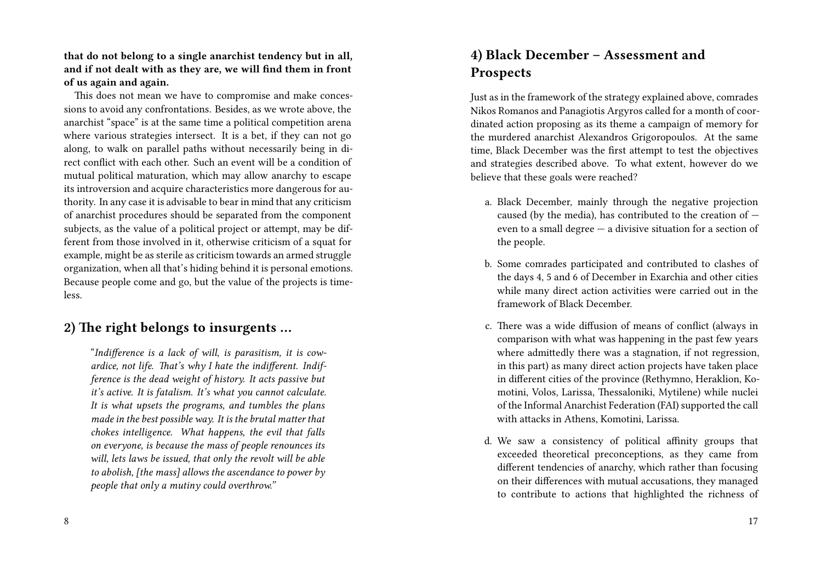**that do not belong to a single anarchist tendency but in all, and if not dealt with as they are, we will find them in front of us again and again.**

This does not mean we have to compromise and make concessions to avoid any confrontations. Besides, as we wrote above, the anarchist "space" is at the same time a political competition arena where various strategies intersect. It is a bet, if they can not go along, to walk on parallel paths without necessarily being in direct conflict with each other. Such an event will be a condition of mutual political maturation, which may allow anarchy to escape its introversion and acquire characteristics more dangerous for authority. In any case it is advisable to bear in mind that any criticism of anarchist procedures should be separated from the component subjects, as the value of a political project or attempt, may be different from those involved in it, otherwise criticism of a squat for example, might be as sterile as criticism towards an armed struggle organization, when all that's hiding behind it is personal emotions. Because people come and go, but the value of the projects is timeless.

# **2) The right belongs to insurgents …**

"*Indifference is a lack of will, is parasitism, it is cowardice, not life. That's why I hate the indifferent. Indifference is the dead weight of history. It acts passive but it's active. It is fatalism. It's what you cannot calculate. It is what upsets the programs, and tumbles the plans made in the best possible way. It is the brutal matter that chokes intelligence. What happens, the evil that falls on everyone, is because the mass of people renounces its will, lets laws be issued, that only the revolt will be able to abolish, [the mass] allows the ascendance to power by people that only a mutiny could overthrow."*

#### 8

# **4) Black December – Assessment and Prospects**

Just as in the framework of the strategy explained above, comrades Nikos Romanos and Panagiotis Argyros called for a month of coordinated action proposing as its theme a campaign of memory for the murdered anarchist Alexandros Grigoropoulos. At the same time, Black December was the first attempt to test the objectives and strategies described above. To what extent, however do we believe that these goals were reached?

- a. Black December, mainly through the negative projection caused (by the media), has contributed to the creation of  $$ even to a small degree — a divisive situation for a section of the people.
- b. Some comrades participated and contributed to clashes of the days 4, 5 and 6 of December in Exarchia and other cities while many direct action activities were carried out in the framework of Black December.
- c. There was a wide diffusion of means of conflict (always in comparison with what was happening in the past few years where admittedly there was a stagnation, if not regression, in this part) as many direct action projects have taken place in different cities of the province (Rethymno, Heraklion, Komotini, Volos, Larissa, Thessaloniki, Mytilene) while nuclei of the Informal Anarchist Federation (FAI) supported the call with attacks in Athens, Komotini, Larissa.
- d. We saw a consistency of political affinity groups that exceeded theoretical preconceptions, as they came from different tendencies of anarchy, which rather than focusing on their differences with mutual accusations, they managed to contribute to actions that highlighted the richness of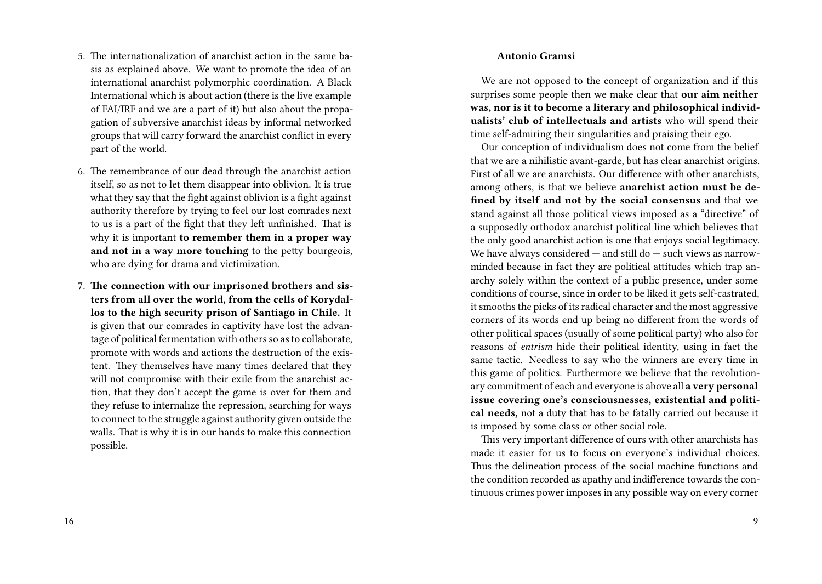- 5. The internationalization of anarchist action in the same basis as explained above. We want to promote the idea of an international anarchist polymorphic coordination. A Black International which is about action (there is the live example of FAI/IRF and we are a part of it) but also about the propagation of subversive anarchist ideas by informal networked groups that will carry forward the anarchist conflict in every part of the world.
- 6. The remembrance of our dead through the anarchist action itself, so as not to let them disappear into oblivion. It is true what they say that the fight against oblivion is a fight against authority therefore by trying to feel our lost comrades next to us is a part of the fight that they left unfinished. That is why it is important **to remember them in a proper way and not in a way more touching** to the petty bourgeois, who are dying for drama and victimization.
- 7. **The connection with our imprisoned brothers and sisters from all over the world, from the cells of Korydallos to the high security prison of Santiago in Chile.** It is given that our comrades in captivity have lost the advantage of political fermentation with others so as to collaborate, promote with words and actions the destruction of the existent. They themselves have many times declared that they will not compromise with their exile from the anarchist action, that they don't accept the game is over for them and they refuse to internalize the repression, searching for ways to connect to the struggle against authority given outside the walls. That is why it is in our hands to make this connection possible.

### **Antonio Gramsi**

We are not opposed to the concept of organization and if this surprises some people then we make clear that **our aim neither was, nor is it to become a literary and philosophical individualists' club of intellectuals and artists** who will spend their time self-admiring their singularities and praising their ego.

Our conception of individualism does not come from the belief that we are a nihilistic avant-garde, but has clear anarchist origins. First of all we are anarchists. Our difference with other anarchists, among others, is that we believe **anarchist action must be defined by itself and not by the social consensus** and that we stand against all those political views imposed as a "directive" of a supposedly orthodox anarchist political line which believes that the only good anarchist action is one that enjoys social legitimacy. We have always considered  $-$  and still do  $-$  such views as narrowminded because in fact they are political attitudes which trap anarchy solely within the context of a public presence, under some conditions of course, since in order to be liked it gets self-castrated, it smooths the picks of its radical character and the most aggressive corners of its words end up being no different from the words of other political spaces (usually of some political party) who also for reasons of *entrism* hide their political identity, using in fact the same tactic. Needless to say who the winners are every time in this game of politics. Furthermore we believe that the revolutionary commitment of each and everyone is above all **a very personal issue covering one's consciousnesses, existential and political needs,** not a duty that has to be fatally carried out because it is imposed by some class or other social role.

This very important difference of ours with other anarchists has made it easier for us to focus on everyone's individual choices. Thus the delineation process of the social machine functions and the condition recorded as apathy and indifference towards the continuous crimes power imposes in any possible way on every corner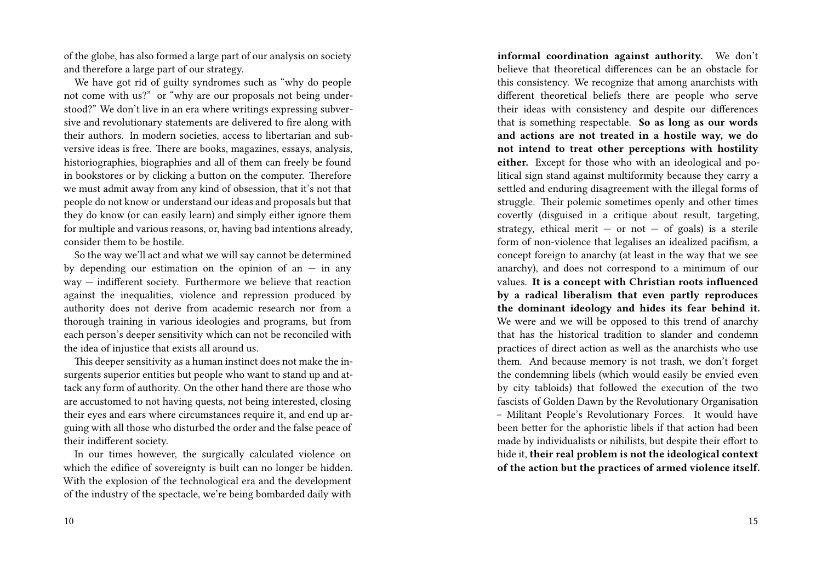of the globe, has also formed a large part of our analysis on society and therefore a large part of our strategy.

We have got rid of guilty syndromes such as "why do people not come with us?" or "why are our proposals not being understood?" We don't live in an era where writings expressing subversive and revolutionary statements are delivered to fire along with their authors. In modern societies, access to libertarian and subversive ideas is free. There are books, magazines, essays, analysis, historiographies, biographies and all of them can freely be found in bookstores or by clicking a button on the computer. Therefore we must admit away from any kind of obsession, that it's not that people do not know or understand our ideas and proposals but that they do know (or can easily learn) and simply either ignore them for multiple and various reasons, or, having bad intentions already, consider them to be hostile.

So the way we'll act and what we will say cannot be determined by depending our estimation on the opinion of an  $-$  in any way — indifferent society. Furthermore we believe that reaction against the inequalities, violence and repression produced by authority does not derive from academic research nor from a thorough training in various ideologies and programs, but from each person's deeper sensitivity which can not be reconciled with the idea of injustice that exists all around us.

This deeper sensitivity as a human instinct does not make the insurgents superior entities but people who want to stand up and attack any form of authority. On the other hand there are those who are accustomed to not having quests, not being interested, closing their eyes and ears where circumstances require it, and end up arguing with all those who disturbed the order and the false peace of their indifferent society.

In our times however, the surgically calculated violence on which the edifice of sovereignty is built can no longer be hidden. With the explosion of the technological era and the development of the industry of the spectacle, we're being bombarded daily with **informal coordination against authority.** We don't believe that theoretical differences can be an obstacle for this consistency. We recognize that among anarchists with different theoretical beliefs there are people who serve their ideas with consistency and despite our differences that is something respectable. **So as long as our words and actions are not treated in a hostile way, we do not intend to treat other perceptions with hostility either.** Except for those who with an ideological and political sign stand against multiformity because they carry a settled and enduring disagreement with the illegal forms of struggle. Their polemic sometimes openly and other times covertly (disguised in a critique about result, targeting, strategy, ethical merit  $-$  or not  $-$  of goals) is a sterile form of non-violence that legalises an idealized pacifism, a concept foreign to anarchy (at least in the way that we see anarchy), and does not correspond to a minimum of our values. **It is a concept with Christian roots influenced by a radical liberalism that even partly reproduces the dominant ideology and hides its fear behind it.** We were and we will be opposed to this trend of anarchy that has the historical tradition to slander and condemn practices of direct action as well as the anarchists who use them. And because memory is not trash, we don't forget the condemning libels (which would easily be envied even by city tabloids) that followed the execution of the two fascists of Golden Dawn by the Revolutionary Organisation – Militant People's Revolutionary Forces. It would have been better for the aphoristic libels if that action had been made by individualists or nihilists, but despite their effort to hide it, **their real problem is not the ideological context of the action but the practices of armed violence itself.**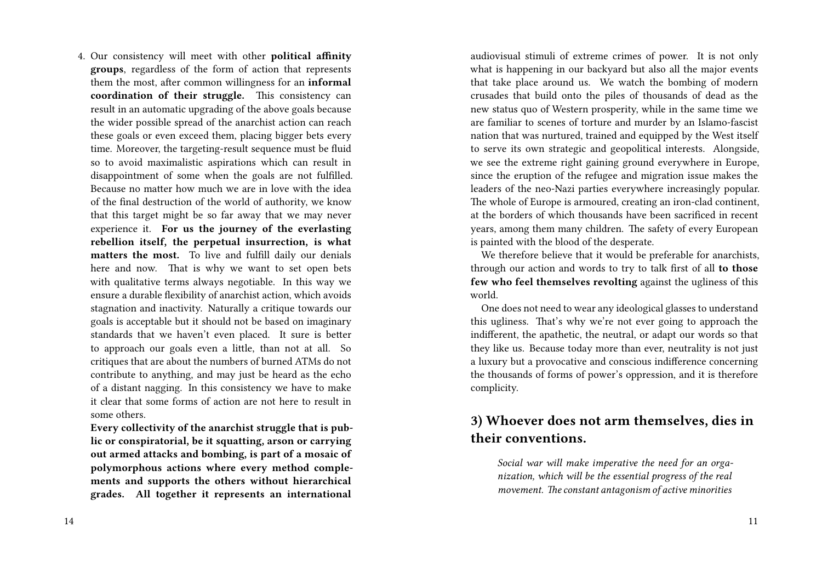4. Our consistency will meet with other **political affinity groups**, regardless of the form of action that represents them the most, after common willingness for an **informal coordination of their struggle.** This consistency can result in an automatic upgrading of the above goals because the wider possible spread of the anarchist action can reach these goals or even exceed them, placing bigger bets every time. Moreover, the targeting-result sequence must be fluid so to avoid maximalistic aspirations which can result in disappointment of some when the goals are not fulfilled. Because no matter how much we are in love with the idea of the final destruction of the world of authority, we know that this target might be so far away that we may never experience it. **For us the journey of the everlasting rebellion itself, the perpetual insurrection, is what matters the most.** To live and fulfill daily our denials here and now. That is why we want to set open bets with qualitative terms always negotiable. In this way we ensure a durable flexibility of anarchist action, which avoids stagnation and inactivity. Naturally a critique towards our goals is acceptable but it should not be based on imaginary standards that we haven't even placed. It sure is better to approach our goals even a little, than not at all. So critiques that are about the numbers of burned ATMs do not contribute to anything, and may just be heard as the echo of a distant nagging. In this consistency we have to make it clear that some forms of action are not here to result in some others.

**Every collectivity of the anarchist struggle that is public or conspiratorial, be it squatting, arson or carrying out armed attacks and bombing, is part of a mosaic of polymorphous actions where every method complements and supports the others without hierarchical grades. All together it represents an international** audiovisual stimuli of extreme crimes of power. It is not only what is happening in our backyard but also all the major events that take place around us. We watch the bombing of modern crusades that build onto the piles of thousands of dead as the new status quo of Western prosperity, while in the same time we are familiar to scenes of torture and murder by an Islamo-fascist nation that was nurtured, trained and equipped by the West itself to serve its own strategic and geopolitical interests. Alongside, we see the extreme right gaining ground everywhere in Europe, since the eruption of the refugee and migration issue makes the leaders of the neo-Nazi parties everywhere increasingly popular. The whole of Europe is armoured, creating an iron-clad continent, at the borders of which thousands have been sacrificed in recent years, among them many children. The safety of every European is painted with the blood of the desperate.

We therefore believe that it would be preferable for anarchists, through our action and words to try to talk first of all **to those few who feel themselves revolting** against the ugliness of this world.

One does not need to wear any ideological glasses to understand this ugliness. That's why we're not ever going to approach the indifferent, the apathetic, the neutral, or adapt our words so that they like us. Because today more than ever, neutrality is not just a luxury but a provocative and conscious indifference concerning the thousands of forms of power's oppression, and it is therefore complicity.

# **3) Whoever does not arm themselves, dies in their conventions.**

*Social war will make imperative the need for an organization, which will be the essential progress of the real movement. The constant antagonism of active minorities*